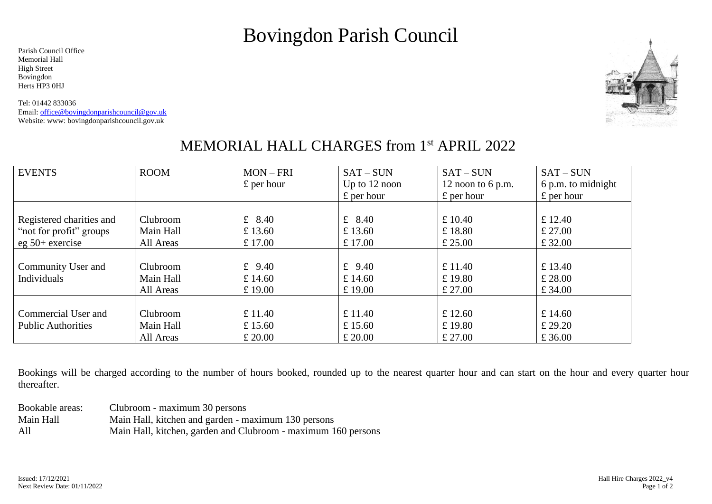# Bovingdon Parish Council

Parish Council Office Memorial Hall High Street Bovingdon Herts HP3 0HJ

Tel: 01442 833036 Email[: office@bovingdonparishcouncil@gov.uk](../../../../AppData/Local/Microsoft/Windows/INetCache/Content.Outlook/X5VDMUTA/office@bovingdonparishcouncil@gov.uk) Website: www: bovingdonparishcouncil.gov.uk



### MEMORIAL HALL CHARGES from 1<sup>st</sup> APRIL 2022

| <b>EVENTS</b>             | <b>ROOM</b> | $MON - FRI$        | $SAT-SUN$          | $SAT-SUN$           | $SAT-SUN$          |
|---------------------------|-------------|--------------------|--------------------|---------------------|--------------------|
|                           |             | $\pounds$ per hour | Up to $12$ noon    | 12 noon to $6$ p.m. | 6 p.m. to midnight |
|                           |             |                    | $\pounds$ per hour | $\pounds$ per hour  | $\pounds$ per hour |
|                           |             |                    |                    |                     |                    |
| Registered charities and  | Clubroom    | £ $8.40$           | £ $8.40$           | £ $10.40$           | £ 12.40            |
| "not for profit" groups   | Main Hall   | £ 13.60            | £ 13.60            | £18.80              | £27.00             |
| $eg\ 50+$ exercise        | All Areas   | £ 17.00            | £ 17.00            | £25.00              | £ 32.00            |
|                           |             |                    |                    |                     |                    |
| Community User and        | Clubroom    | £ $9.40$           | £ $9.40$           | £ $11.40$           | £ 13.40            |
| Individuals               | Main Hall   | £ 14.60            | £ 14.60            | £19.80              | £28.00             |
|                           | All Areas   | £19.00             | £19.00             | £ 27.00             | £ 34.00            |
|                           |             |                    |                    |                     |                    |
| Commercial User and       | Clubroom    | £ $11.40$          | £ $11.40$          | £ 12.60             | £ 14.60            |
| <b>Public Authorities</b> | Main Hall   | £ 15.60            | £ 15.60            | £19.80              | £ 29.20            |
|                           | All Areas   | £20.00             | £20.00             | £27.00              | £ 36.00            |

Bookings will be charged according to the number of hours booked, rounded up to the nearest quarter hour and can start on the hour and every quarter hour thereafter.

| Bookable areas: | Clubroom - maximum 30 persons                                 |
|-----------------|---------------------------------------------------------------|
| Main Hall       | Main Hall, kitchen and garden - maximum 130 persons           |
| All             | Main Hall, kitchen, garden and Clubroom - maximum 160 persons |